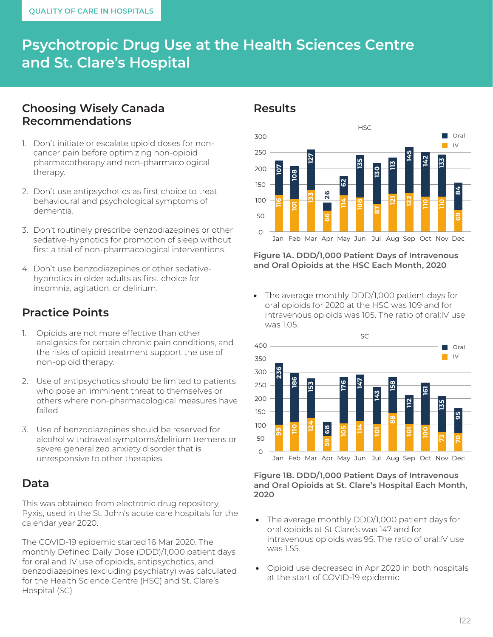# **Psychotropic Drug Use at the Health Sciences Centre and St. Clare's Hospital**

# **Choosing Wisely Canada Recommendations**

- 1. Don't initiate or escalate opioid doses for noncancer pain before optimizing non-opioid pharmacotherapy and non-pharmacological therapy.
- 2. Don't use antipsychotics as first choice to treat behavioural and psychological symptoms of dementia.
- 3. Don't routinely prescribe benzodiazepines or other sedative-hypnotics for promotion of sleep without first a trial of non-pharmacological interventions.
- 4. Don't use benzodiazepines or other sedativehypnotics in older adults as first choice for insomnia, agitation, or delirium.

# **Practice Points**

- 1. Opioids are not more effective than other analgesics for certain chronic pain conditions, and the risks of opioid treatment support the use of non-opioid therapy.
- 2. Use of antipsychotics should be limited to patients who pose an imminent threat to themselves or others where non-pharmacological measures have failed.
- 3. Use of benzodiazepines should be reserved for alcohol withdrawal symptoms/delirium tremens or severe generalized anxiety disorder that is unresponsive to other therapies.

### **Data**

This was obtained from electronic drug repository, Pyxis, used in the St. John's acute care hospitals for the calendar year 2020.

The COVID-19 epidemic started 16 Mar 2020. The monthly Defined Daily Dose (DDD)/1,000 patient days for oral and IV use of opioids, antipsychotics, and benzodiazepines (excluding psychiatry) was calculated for the Health Science Centre (HSC) and St. Clare's Hospital (SC).

### **Results**



**Figure 1A. DDD/1,000 Patient Days of Intravenous and Oral Opioids at the HSC Each Month, 2020**

The average monthly DDD/1,000 patient days for oral opioids for 2020 at the HSC was 109 and for intravenous opioids was 105. The ratio of oral:IV use was 1.05.



#### **Figure 1B. DDD/1,000 Patient Days of Intravenous and Oral Opioids at St. Clare's Hospital Each Month, 2020**

- The average monthly DDD/1,000 patient days for oral opioids at St Clare's was 147 and for intravenous opioids was 95. The ratio of oral:IV use was 1.55.
- Opioid use decreased in Apr 2020 in both hospitals at the start of COVID-19 epidemic.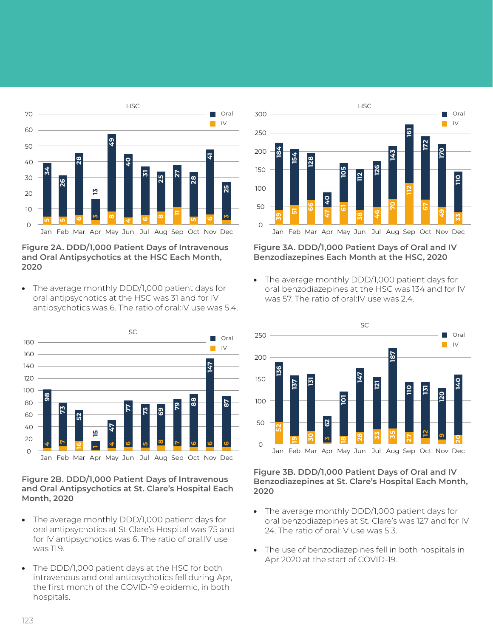

#### **Figure 2A. DDD/1,000 Patient Days of Intravenous and Oral Antipsychotics at the HSC Each Month,**

• The average monthly DDD/1,000 patient days for oral antipsychotics at the HSC was 31 and for IV antipsychotics was 6. The ratio of oral:IV use was 5.4.



**Figure 2B. DDD/1,000 Patient Days of Intravenous and Oral Antipsychotics at St. Clare's Hospital Each Month, 2020**

- The average monthly DDD/1,000 patient days for oral antipsychotics at St Clare's Hospital was 75 and for IV antipsychotics was 6. The ratio of oral: IV use was 11.9.
- The DDD/1,000 patient days at the HSC for both intravenous and oral antipsychotics fell during Apr, the first month of the COVID-19 epidemic, in both hospitals.



#### **Figure 3A. DDD/1,000 Patient Days of Oral and IV Benzodiazepines Each Month at the HSC, 2020**

The average monthly DDD/1,000 patient days for oral benzodiazepines at the HSC was 134 and for IV was 57. The ratio of oral:IV use was 2.4.



#### **Figure 3B. DDD/1,000 Patient Days of Oral and IV Benzodiazepines at St. Clare's Hospital Each Month,**

- The average monthly DDD/1,000 patient days for oral benzodiazepines at St. Clare's was 127 and for IV 24. The ratio of oral:IV use was 5.3.
- The use of benzodiazepines fell in both hospitals in Apr 2020 at the start of COVID-19.